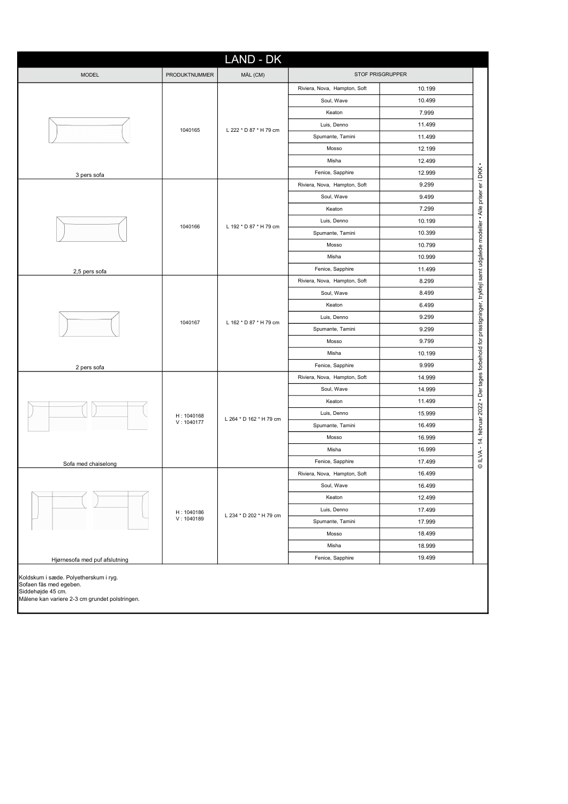|                               |                          | <b>LAND - DK</b>        |                                                                                                       |        |                                                                                                                             |
|-------------------------------|--------------------------|-------------------------|-------------------------------------------------------------------------------------------------------|--------|-----------------------------------------------------------------------------------------------------------------------------|
| <b>MODEL</b>                  | PRODUKTNUMMER            | MÅL (CM)                | STOF PRISGRUPPER<br>10.199<br>Riviera, Nova, Hampton, Soft<br>10.499<br>Soul, Wave<br>Keaton<br>7.999 |        |                                                                                                                             |
|                               |                          |                         |                                                                                                       |        |                                                                                                                             |
|                               |                          |                         |                                                                                                       |        |                                                                                                                             |
|                               |                          |                         |                                                                                                       |        |                                                                                                                             |
|                               |                          |                         | Luis, Denno                                                                                           | 11.499 |                                                                                                                             |
|                               | 1040165                  | L 222 * D 87 * H 79 cm  | Spumante, Tamini                                                                                      | 11.499 |                                                                                                                             |
|                               |                          |                         | Mosso                                                                                                 | 12.199 |                                                                                                                             |
|                               |                          |                         | Misha                                                                                                 | 12.499 |                                                                                                                             |
| 3 pers sofa                   |                          |                         | Fenice, Sapphire                                                                                      | 12.999 |                                                                                                                             |
|                               | 1040166                  | L 192 * D 87 * H 79 cm  | Riviera, Nova, Hampton, Soft                                                                          | 9.299  |                                                                                                                             |
|                               |                          |                         | Soul, Wave                                                                                            | 9.499  |                                                                                                                             |
|                               |                          |                         | Keaton                                                                                                | 7.299  |                                                                                                                             |
|                               |                          |                         | Luis, Denno                                                                                           | 10.199 |                                                                                                                             |
|                               |                          |                         | Spumante, Tamini                                                                                      | 10.399 |                                                                                                                             |
|                               |                          |                         | Mosso                                                                                                 | 10.799 |                                                                                                                             |
| 2,5 pers sofa                 |                          |                         | Misha                                                                                                 | 10.999 |                                                                                                                             |
|                               |                          |                         | Fenice, Sapphire                                                                                      | 11.499 |                                                                                                                             |
|                               | 1040167                  | L 162 * D 87 * H 79 cm  | Riviera, Nova, Hampton, Soft                                                                          | 8.299  |                                                                                                                             |
|                               |                          |                         | Soul, Wave                                                                                            | 8.499  |                                                                                                                             |
|                               |                          |                         | Keaton                                                                                                | 6.499  |                                                                                                                             |
|                               |                          |                         | Luis, Denno                                                                                           | 9.299  |                                                                                                                             |
|                               |                          |                         | Spumante, Tamini                                                                                      | 9.299  |                                                                                                                             |
|                               |                          |                         | Mosso                                                                                                 | 9.799  |                                                                                                                             |
|                               |                          |                         | Misha                                                                                                 | 10.199 |                                                                                                                             |
| 2 pers sofa                   |                          |                         | Fenice, Sapphire                                                                                      | 9.999  |                                                                                                                             |
|                               |                          |                         | Riviera, Nova, Hampton, Soft                                                                          | 14.999 |                                                                                                                             |
|                               |                          |                         | Soul, Wave                                                                                            | 14.999 | © ILVA - 14. februar 2022 • Der tages forbehold for prisstigninger, trykfejl samt udgåede modeller • Alle priser er i DKK • |
|                               |                          |                         | Keaton                                                                                                | 11.499 |                                                                                                                             |
|                               | H: 1040168               |                         | Luis, Denno                                                                                           | 15.999 |                                                                                                                             |
|                               | V: 1040177               | L 264 * D 162 * H 79 cm | Spumante, Tamini                                                                                      | 16.499 |                                                                                                                             |
|                               |                          |                         | Mosso                                                                                                 | 16.999 |                                                                                                                             |
|                               |                          |                         | Misha                                                                                                 | 16.999 |                                                                                                                             |
| Sofa med chaiselong           |                          |                         | Fenice, Sapphire                                                                                      | 17.499 |                                                                                                                             |
|                               |                          | L 234 * D 202 * H 79 cm | Riviera, Nova, Hampton, Soft                                                                          | 16.499 |                                                                                                                             |
| Hjørnesofa med puf afslutning |                          |                         | Soul, Wave                                                                                            | 16.499 |                                                                                                                             |
|                               | H: 1040186<br>V: 1040189 |                         | Keaton                                                                                                | 12.499 |                                                                                                                             |
|                               |                          |                         | Luis, Denno                                                                                           | 17.499 |                                                                                                                             |
|                               |                          |                         | Spumante, Tamini                                                                                      | 17.999 |                                                                                                                             |
|                               |                          |                         | Mosso                                                                                                 | 18.499 |                                                                                                                             |
|                               |                          |                         | Misha                                                                                                 | 18.999 |                                                                                                                             |
|                               |                          |                         | Fenice, Sapphire                                                                                      | 19.499 |                                                                                                                             |